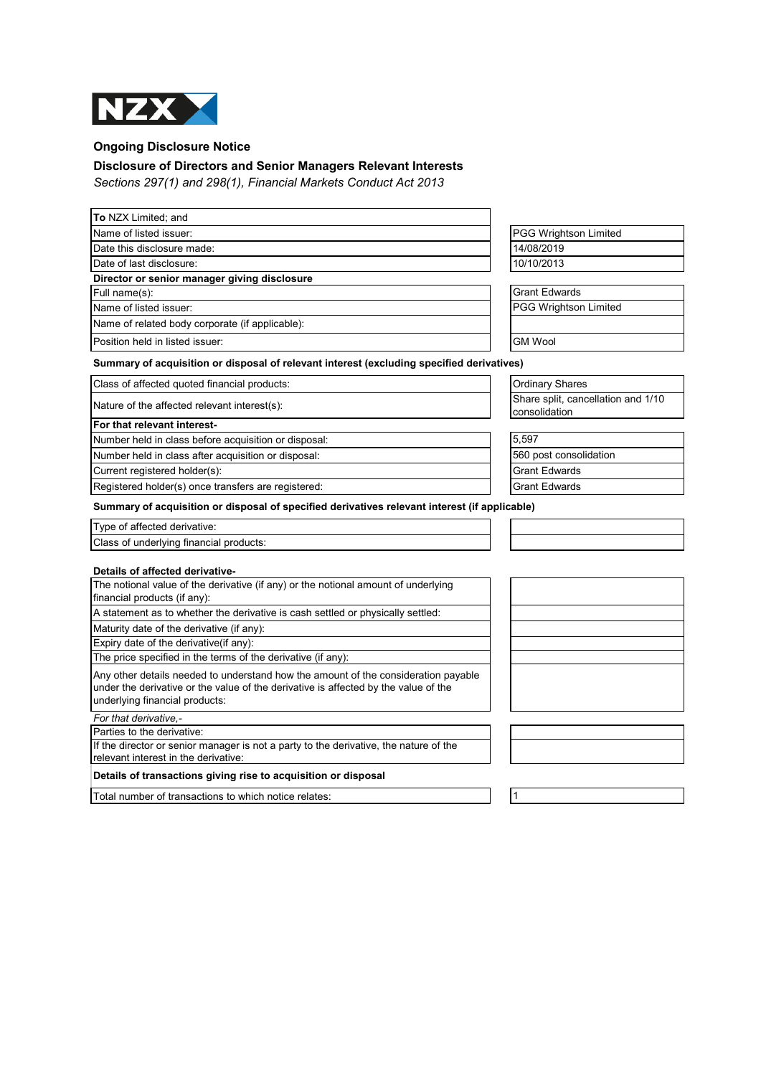

## **Ongoing Disclosure Notice**

## **Disclosure of Directors and Senior Managers Relevant Interests**

*Sections 297(1) and 298(1), Financial Markets Conduct Act 2013*

| To NZX Limited; and                                                                                                                                                                                         |                                                     |
|-------------------------------------------------------------------------------------------------------------------------------------------------------------------------------------------------------------|-----------------------------------------------------|
| Name of listed issuer:                                                                                                                                                                                      | <b>PGG Wrightson Limited</b>                        |
| Date this disclosure made:                                                                                                                                                                                  | 14/08/2019                                          |
| Date of last disclosure:                                                                                                                                                                                    | 10/10/2013                                          |
| Director or senior manager giving disclosure                                                                                                                                                                |                                                     |
| Full name(s):                                                                                                                                                                                               | <b>Grant Edwards</b>                                |
| Name of listed issuer:                                                                                                                                                                                      | <b>PGG Wrightson Limited</b>                        |
| Name of related body corporate (if applicable):                                                                                                                                                             |                                                     |
| Position held in listed issuer:                                                                                                                                                                             | <b>GM Wool</b>                                      |
| Summary of acquisition or disposal of relevant interest (excluding specified derivatives)                                                                                                                   |                                                     |
| Class of affected quoted financial products:                                                                                                                                                                | <b>Ordinary Shares</b>                              |
| Nature of the affected relevant interest(s):                                                                                                                                                                | Share split, cancellation and 1/10<br>consolidation |
| For that relevant interest-                                                                                                                                                                                 |                                                     |
| Number held in class before acquisition or disposal:                                                                                                                                                        | 5,597                                               |
| Number held in class after acquisition or disposal:                                                                                                                                                         | 560 post consolidation                              |
| Current registered holder(s):                                                                                                                                                                               | <b>Grant Edwards</b>                                |
| Registered holder(s) once transfers are registered:                                                                                                                                                         | <b>Grant Edwards</b>                                |
| Summary of acquisition or disposal of specified derivatives relevant interest (if applicable)                                                                                                               |                                                     |
| Type of affected derivative:                                                                                                                                                                                |                                                     |
| Class of underlying financial products:                                                                                                                                                                     |                                                     |
| Details of affected derivative-                                                                                                                                                                             |                                                     |
| The notional value of the derivative (if any) or the notional amount of underlying<br>financial products (if any):                                                                                          |                                                     |
| A statement as to whether the derivative is cash settled or physically settled:                                                                                                                             |                                                     |
| Maturity date of the derivative (if any):                                                                                                                                                                   |                                                     |
| Expiry date of the derivative(if any):                                                                                                                                                                      |                                                     |
| The price specified in the terms of the derivative (if any):                                                                                                                                                |                                                     |
| Any other details needed to understand how the amount of the consideration payable<br>under the derivative or the value of the derivative is affected by the value of the<br>underlying financial products: |                                                     |
| For that derivative.-                                                                                                                                                                                       |                                                     |
| Parties to the derivative:                                                                                                                                                                                  |                                                     |
| If the director or senior manager is not a party to the derivative, the nature of the<br>relevant interest in the derivative:                                                                               |                                                     |
| Details of transactions giving rise to acquisition or disposal                                                                                                                                              |                                                     |
| Total number of transactions to which notice relates:                                                                                                                                                       | 1                                                   |
|                                                                                                                                                                                                             |                                                     |